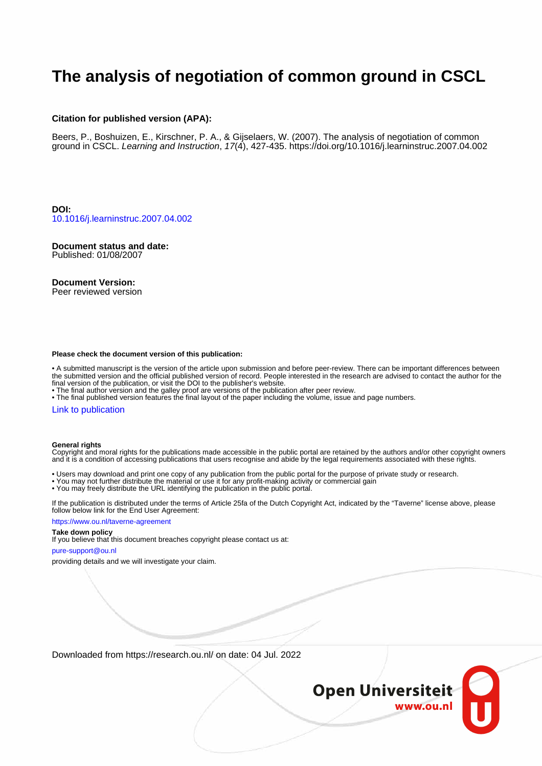# **The analysis of negotiation of common ground in CSCL**

#### **Citation for published version (APA):**

Beers, P., Boshuizen, E., Kirschner, P. A., & Gijselaers, W. (2007). The analysis of negotiation of common ground in CSCL. Learning and Instruction, 17(4), 427-435. <https://doi.org/10.1016/j.learninstruc.2007.04.002>

**DOI:** [10.1016/j.learninstruc.2007.04.002](https://doi.org/10.1016/j.learninstruc.2007.04.002)

**Document status and date:** Published: 01/08/2007

#### **Document Version:**

Peer reviewed version

#### **Please check the document version of this publication:**

• A submitted manuscript is the version of the article upon submission and before peer-review. There can be important differences between the submitted version and the official published version of record. People interested in the research are advised to contact the author for the final version of the publication, or visit the DOI to the publisher's website.

• The final author version and the galley proof are versions of the publication after peer review.

• The final published version features the final layout of the paper including the volume, issue and page numbers.

#### [Link to publication](https://research.ou.nl/en/publications/326235c7-a379-4335-b5e6-acb833f37a1f)

#### **General rights**

Copyright and moral rights for the publications made accessible in the public portal are retained by the authors and/or other copyright owners and it is a condition of accessing publications that users recognise and abide by the legal requirements associated with these rights.

- Users may download and print one copy of any publication from the public portal for the purpose of private study or research.
- You may not further distribute the material or use it for any profit-making activity or commercial gain
- You may freely distribute the URL identifying the publication in the public portal.

If the publication is distributed under the terms of Article 25fa of the Dutch Copyright Act, indicated by the "Taverne" license above, please follow below link for the End User Agreement:

#### https://www.ou.nl/taverne-agreement

#### **Take down policy**

If you believe that this document breaches copyright please contact us at:

#### pure-support@ou.nl

providing details and we will investigate your claim.

Downloaded from https://research.ou.nl/ on date: 04 Jul. 2022

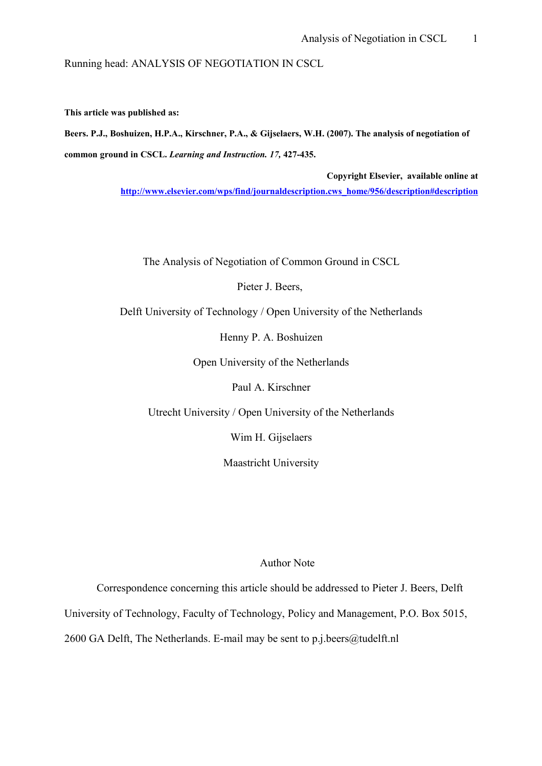Running head: ANALYSIS OF NEGOTIATION IN CSCL

**This article was published as:**

**Beers. P.J., Boshuizen, H.P.A., Kirschner, P.A., & Gijselaers, W.H. (2007). The analysis of negotiation of common ground in CSCL.** *Learning and Instruction. 17,* **427-435.**

> **Copyright Elsevier, available online at [http://www.elsevier.com/wps/find/journaldescription.cws\\_home/956/description#description](http://www.elsevier.com/wps/find/journaldescription.cws_home/956/description#description)**

The Analysis of Negotiation of Common Ground in CSCL

Pieter J. Beers,

Delft University of Technology / Open University of the Netherlands

Henny P. A. Boshuizen

Open University of the Netherlands

Paul A. Kirschner

Utrecht University / Open University of the Netherlands

Wim H. Gijselaers

Maastricht University

# Author Note

Correspondence concerning this article should be addressed to Pieter J. Beers, Delft University of Technology, Faculty of Technology, Policy and Management, P.O. Box 5015,

2600 GA Delft, The Netherlands. E-mail may be sent to p.j.beers@tudelft.nl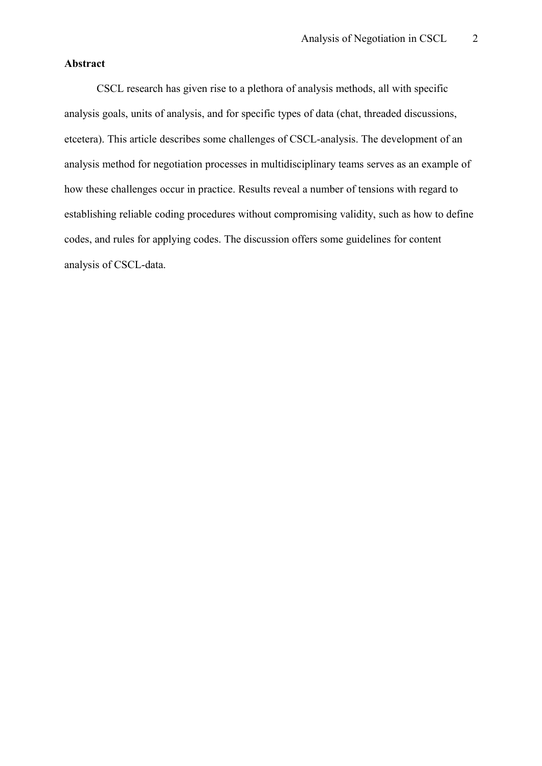# **Abstract**

CSCL research has given rise to a plethora of analysis methods, all with specific analysis goals, units of analysis, and for specific types of data (chat, threaded discussions, etcetera). This article describes some challenges of CSCL-analysis. The development of an analysis method for negotiation processes in multidisciplinary teams serves as an example of how these challenges occur in practice. Results reveal a number of tensions with regard to establishing reliable coding procedures without compromising validity, such as how to define codes, and rules for applying codes. The discussion offers some guidelines for content analysis of CSCL-data.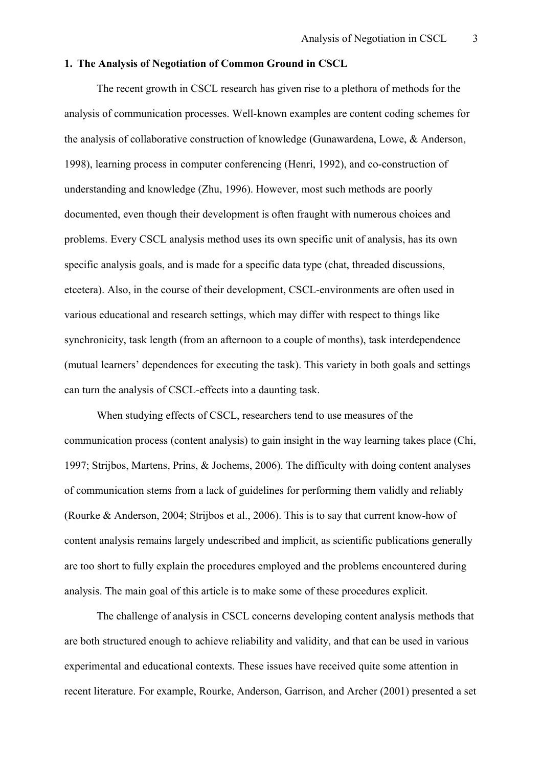#### **1. The Analysis of Negotiation of Common Ground in CSCL**

The recent growth in CSCL research has given rise to a plethora of methods for the analysis of communication processes. Well-known examples are content coding schemes for the analysis of collaborative construction of knowledge (Gunawardena, Lowe, & Anderson, 1998), learning process in computer conferencing (Henri, 1992), and co-construction of understanding and knowledge (Zhu, 1996). However, most such methods are poorly documented, even though their development is often fraught with numerous choices and problems. Every CSCL analysis method uses its own specific unit of analysis, has its own specific analysis goals, and is made for a specific data type (chat, threaded discussions, etcetera). Also, in the course of their development, CSCL-environments are often used in various educational and research settings, which may differ with respect to things like synchronicity, task length (from an afternoon to a couple of months), task interdependence (mutual learners' dependences for executing the task). This variety in both goals and settings can turn the analysis of CSCL-effects into a daunting task.

When studying effects of CSCL, researchers tend to use measures of the communication process (content analysis) to gain insight in the way learning takes place (Chi, 1997; Strijbos, Martens, Prins, & Jochems, 2006). The difficulty with doing content analyses of communication stems from a lack of guidelines for performing them validly and reliably (Rourke & Anderson, 2004; Strijbos et al., 2006). This is to say that current know-how of content analysis remains largely undescribed and implicit, as scientific publications generally are too short to fully explain the procedures employed and the problems encountered during analysis. The main goal of this article is to make some of these procedures explicit.

The challenge of analysis in CSCL concerns developing content analysis methods that are both structured enough to achieve reliability and validity, and that can be used in various experimental and educational contexts. These issues have received quite some attention in recent literature. For example, Rourke, Anderson, Garrison, and Archer (2001) presented a set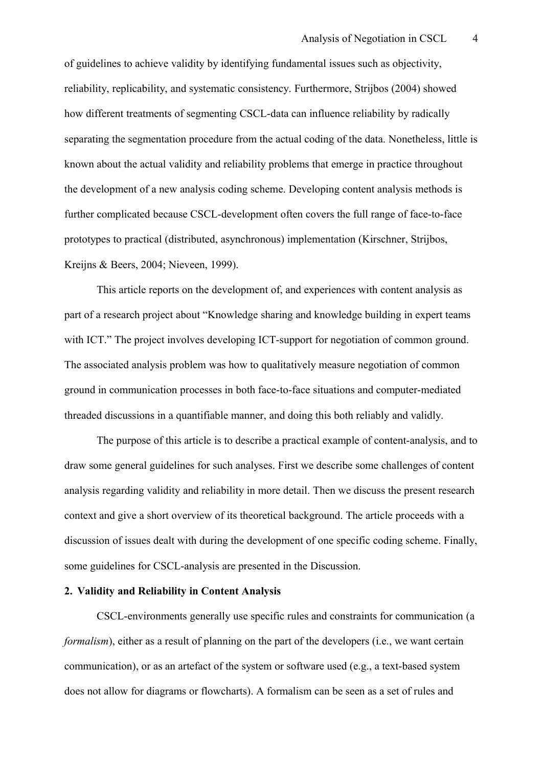of guidelines to achieve validity by identifying fundamental issues such as objectivity, reliability, replicability, and systematic consistency. Furthermore, Strijbos (2004) showed how different treatments of segmenting CSCL-data can influence reliability by radically separating the segmentation procedure from the actual coding of the data. Nonetheless, little is known about the actual validity and reliability problems that emerge in practice throughout the development of a new analysis coding scheme. Developing content analysis methods is further complicated because CSCL-development often covers the full range of face-to-face prototypes to practical (distributed, asynchronous) implementation (Kirschner, Strijbos, Kreijns & Beers, 2004; Nieveen, 1999).

This article reports on the development of, and experiences with content analysis as part of a research project about "Knowledge sharing and knowledge building in expert teams with ICT." The project involves developing ICT-support for negotiation of common ground. The associated analysis problem was how to qualitatively measure negotiation of common ground in communication processes in both face-to-face situations and computer-mediated threaded discussions in a quantifiable manner, and doing this both reliably and validly.

The purpose of this article is to describe a practical example of content-analysis, and to draw some general guidelines for such analyses. First we describe some challenges of content analysis regarding validity and reliability in more detail. Then we discuss the present research context and give a short overview of its theoretical background. The article proceeds with a discussion of issues dealt with during the development of one specific coding scheme. Finally, some guidelines for CSCL-analysis are presented in the Discussion.

# **2. Validity and Reliability in Content Analysis**

CSCL-environments generally use specific rules and constraints for communication (a *formalism*), either as a result of planning on the part of the developers (i.e., we want certain communication), or as an artefact of the system or software used (e.g., a text-based system does not allow for diagrams or flowcharts). A formalism can be seen as a set of rules and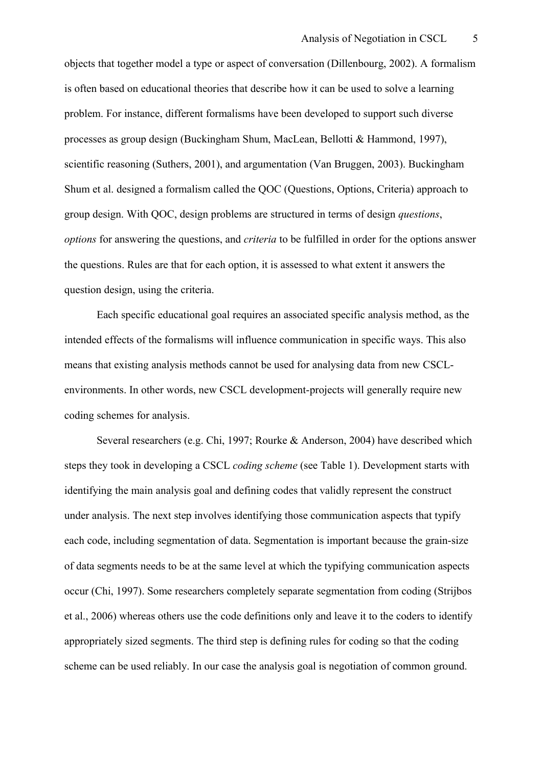objects that together model a type or aspect of conversation (Dillenbourg, 2002). A formalism is often based on educational theories that describe how it can be used to solve a learning problem. For instance, different formalisms have been developed to support such diverse processes as group design (Buckingham Shum, MacLean, Bellotti & Hammond, 1997), scientific reasoning (Suthers, 2001), and argumentation (Van Bruggen, 2003). Buckingham Shum et al. designed a formalism called the QOC (Questions, Options, Criteria) approach to group design. With QOC, design problems are structured in terms of design *questions*, *options* for answering the questions, and *criteria* to be fulfilled in order for the options answer the questions. Rules are that for each option, it is assessed to what extent it answers the question design, using the criteria.

Each specific educational goal requires an associated specific analysis method, as the intended effects of the formalisms will influence communication in specific ways. This also means that existing analysis methods cannot be used for analysing data from new CSCLenvironments. In other words, new CSCL development-projects will generally require new coding schemes for analysis.

Several researchers (e.g. Chi, 1997; Rourke & Anderson, 2004) have described which steps they took in developing a CSCL *coding scheme* (see Table 1). Development starts with identifying the main analysis goal and defining codes that validly represent the construct under analysis. The next step involves identifying those communication aspects that typify each code, including segmentation of data. Segmentation is important because the grain-size of data segments needs to be at the same level at which the typifying communication aspects occur (Chi, 1997). Some researchers completely separate segmentation from coding (Strijbos et al., 2006) whereas others use the code definitions only and leave it to the coders to identify appropriately sized segments. The third step is defining rules for coding so that the coding scheme can be used reliably. In our case the analysis goal is negotiation of common ground.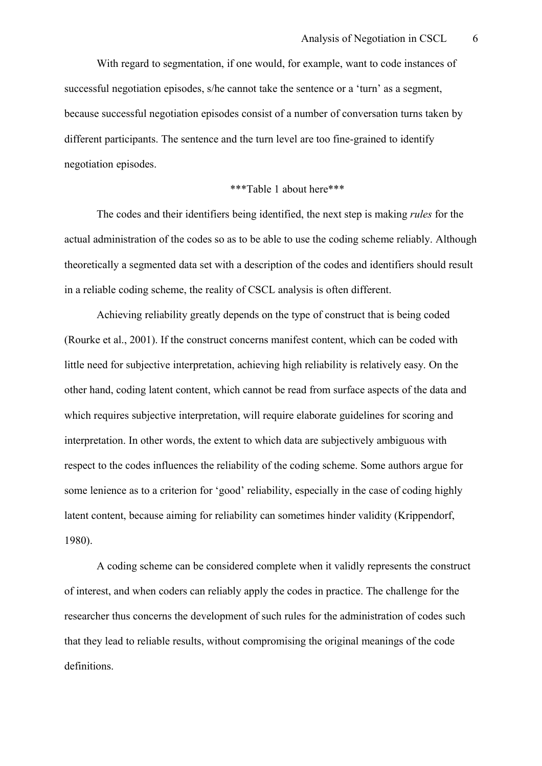With regard to segmentation, if one would, for example, want to code instances of successful negotiation episodes, s/he cannot take the sentence or a 'turn' as a segment, because successful negotiation episodes consist of a number of conversation turns taken by different participants. The sentence and the turn level are too fine-grained to identify negotiation episodes.

### \*\*\*Table 1 about here\*\*\*

The codes and their identifiers being identified, the next step is making *rules* for the actual administration of the codes so as to be able to use the coding scheme reliably. Although theoretically a segmented data set with a description of the codes and identifiers should result in a reliable coding scheme, the reality of CSCL analysis is often different.

Achieving reliability greatly depends on the type of construct that is being coded (Rourke et al., 2001). If the construct concerns manifest content, which can be coded with little need for subjective interpretation, achieving high reliability is relatively easy. On the other hand, coding latent content, which cannot be read from surface aspects of the data and which requires subjective interpretation, will require elaborate guidelines for scoring and interpretation. In other words, the extent to which data are subjectively ambiguous with respect to the codes influences the reliability of the coding scheme. Some authors argue for some lenience as to a criterion for 'good' reliability, especially in the case of coding highly latent content, because aiming for reliability can sometimes hinder validity (Krippendorf, 1980).

A coding scheme can be considered complete when it validly represents the construct of interest, and when coders can reliably apply the codes in practice. The challenge for the researcher thus concerns the development of such rules for the administration of codes such that they lead to reliable results, without compromising the original meanings of the code definitions.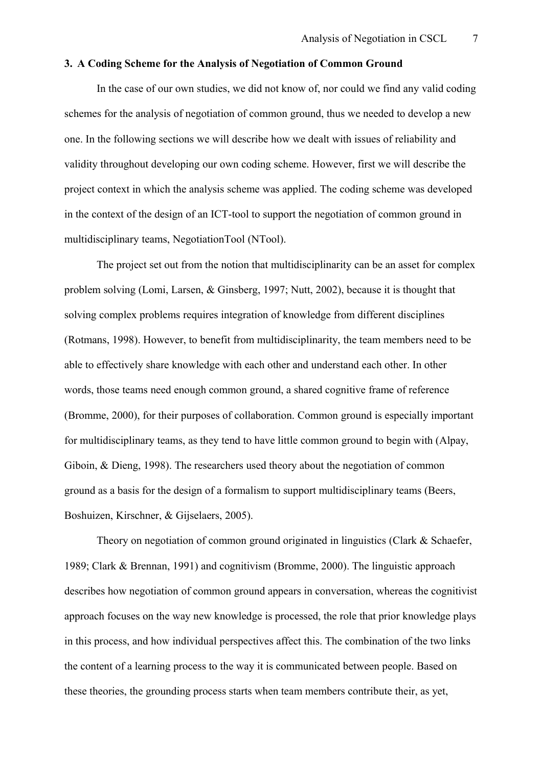### **3. A Coding Scheme for the Analysis of Negotiation of Common Ground**

In the case of our own studies, we did not know of, nor could we find any valid coding schemes for the analysis of negotiation of common ground, thus we needed to develop a new one. In the following sections we will describe how we dealt with issues of reliability and validity throughout developing our own coding scheme. However, first we will describe the project context in which the analysis scheme was applied. The coding scheme was developed in the context of the design of an ICT-tool to support the negotiation of common ground in multidisciplinary teams, NegotiationTool (NTool).

The project set out from the notion that multidisciplinarity can be an asset for complex problem solving (Lomi, Larsen, & Ginsberg, 1997; Nutt, 2002), because it is thought that solving complex problems requires integration of knowledge from different disciplines (Rotmans, 1998). However, to benefit from multidisciplinarity, the team members need to be able to effectively share knowledge with each other and understand each other. In other words, those teams need enough common ground, a shared cognitive frame of reference (Bromme, 2000), for their purposes of collaboration. Common ground is especially important for multidisciplinary teams, as they tend to have little common ground to begin with (Alpay, Giboin, & Dieng, 1998). The researchers used theory about the negotiation of common ground as a basis for the design of a formalism to support multidisciplinary teams (Beers, Boshuizen, Kirschner, & Gijselaers, 2005).

Theory on negotiation of common ground originated in linguistics (Clark & Schaefer, 1989; Clark & Brennan, 1991) and cognitivism (Bromme, 2000). The linguistic approach describes how negotiation of common ground appears in conversation, whereas the cognitivist approach focuses on the way new knowledge is processed, the role that prior knowledge plays in this process, and how individual perspectives affect this. The combination of the two links the content of a learning process to the way it is communicated between people. Based on these theories, the grounding process starts when team members contribute their, as yet,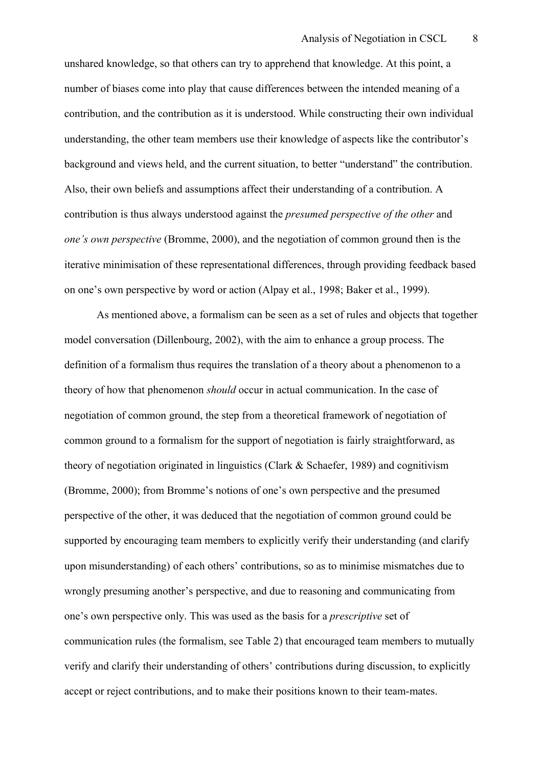unshared knowledge, so that others can try to apprehend that knowledge. At this point, a number of biases come into play that cause differences between the intended meaning of a contribution, and the contribution as it is understood. While constructing their own individual understanding, the other team members use their knowledge of aspects like the contributor's background and views held, and the current situation, to better "understand" the contribution. Also, their own beliefs and assumptions affect their understanding of a contribution. A contribution is thus always understood against the *presumed perspective of the other* and *one's own perspective* (Bromme, 2000), and the negotiation of common ground then is the iterative minimisation of these representational differences, through providing feedback based on one's own perspective by word or action (Alpay et al., 1998; Baker et al., 1999).

As mentioned above, a formalism can be seen as a set of rules and objects that together model conversation (Dillenbourg, 2002), with the aim to enhance a group process. The definition of a formalism thus requires the translation of a theory about a phenomenon to a theory of how that phenomenon *should* occur in actual communication. In the case of negotiation of common ground, the step from a theoretical framework of negotiation of common ground to a formalism for the support of negotiation is fairly straightforward, as theory of negotiation originated in linguistics (Clark & Schaefer, 1989) and cognitivism (Bromme, 2000); from Bromme's notions of one's own perspective and the presumed perspective of the other, it was deduced that the negotiation of common ground could be supported by encouraging team members to explicitly verify their understanding (and clarify upon misunderstanding) of each others' contributions, so as to minimise mismatches due to wrongly presuming another's perspective, and due to reasoning and communicating from one's own perspective only. This was used as the basis for a *prescriptive* set of communication rules (the formalism, see Table 2) that encouraged team members to mutually verify and clarify their understanding of others' contributions during discussion, to explicitly accept or reject contributions, and to make their positions known to their team-mates.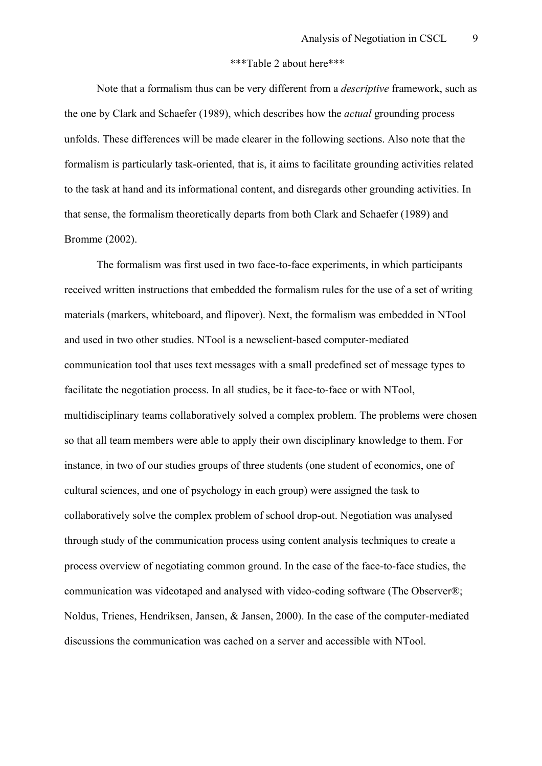#### \*\*\*Table 2 about here\*\*\*

Note that a formalism thus can be very different from a *descriptive* framework, such as the one by Clark and Schaefer (1989), which describes how the *actual* grounding process unfolds. These differences will be made clearer in the following sections. Also note that the formalism is particularly task-oriented, that is, it aims to facilitate grounding activities related to the task at hand and its informational content, and disregards other grounding activities. In that sense, the formalism theoretically departs from both Clark and Schaefer (1989) and Bromme (2002).

The formalism was first used in two face-to-face experiments, in which participants received written instructions that embedded the formalism rules for the use of a set of writing materials (markers, whiteboard, and flipover). Next, the formalism was embedded in NTool and used in two other studies. NTool is a newsclient-based computer-mediated communication tool that uses text messages with a small predefined set of message types to facilitate the negotiation process. In all studies, be it face-to-face or with NTool, multidisciplinary teams collaboratively solved a complex problem. The problems were chosen so that all team members were able to apply their own disciplinary knowledge to them. For instance, in two of our studies groups of three students (one student of economics, one of cultural sciences, and one of psychology in each group) were assigned the task to collaboratively solve the complex problem of school drop-out. Negotiation was analysed through study of the communication process using content analysis techniques to create a process overview of negotiating common ground. In the case of the face-to-face studies, the communication was videotaped and analysed with video-coding software (The Observer®; Noldus, Trienes, Hendriksen, Jansen, & Jansen, 2000). In the case of the computer-mediated discussions the communication was cached on a server and accessible with NTool.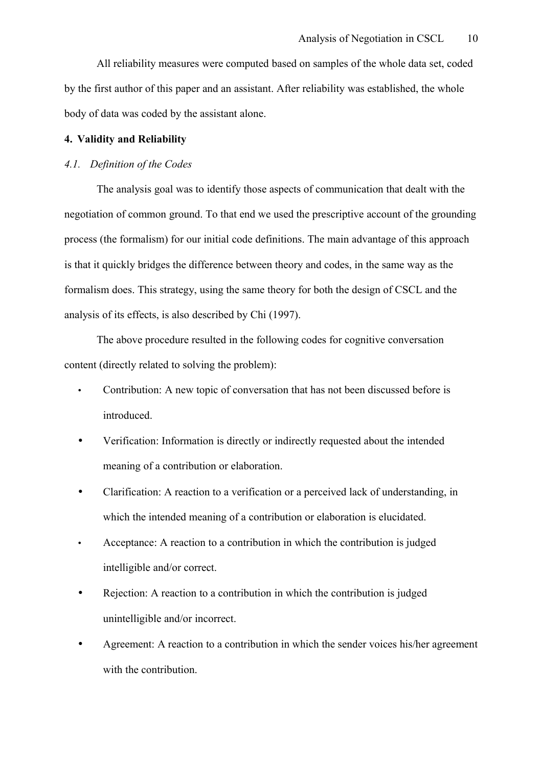All reliability measures were computed based on samples of the whole data set, coded by the first author of this paper and an assistant. After reliability was established, the whole body of data was coded by the assistant alone.

### **4. Validity and Reliability**

# *4.1. Definition of the Codes*

The analysis goal was to identify those aspects of communication that dealt with the negotiation of common ground. To that end we used the prescriptive account of the grounding process (the formalism) for our initial code definitions. The main advantage of this approach is that it quickly bridges the difference between theory and codes, in the same way as the formalism does. This strategy, using the same theory for both the design of CSCL and the analysis of its effects, is also described by Chi (1997).

The above procedure resulted in the following codes for cognitive conversation content (directly related to solving the problem):

- Contribution: A new topic of conversation that has not been discussed before is introduced.
- Verification: Information is directly or indirectly requested about the intended meaning of a contribution or elaboration.
- Clarification: A reaction to a verification or a perceived lack of understanding, in which the intended meaning of a contribution or elaboration is elucidated.
- Acceptance: A reaction to a contribution in which the contribution is judged intelligible and/or correct.
- Rejection: A reaction to a contribution in which the contribution is judged unintelligible and/or incorrect.
- Agreement: A reaction to a contribution in which the sender voices his/her agreement with the contribution.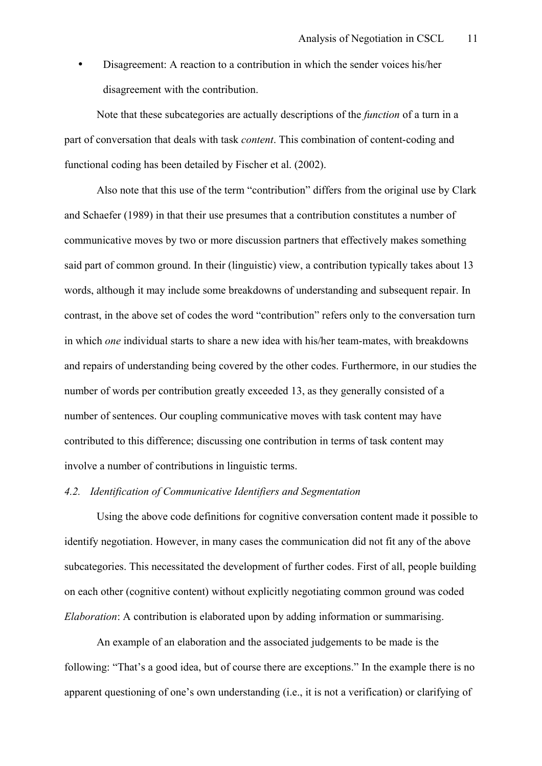• Disagreement: A reaction to a contribution in which the sender voices his/her disagreement with the contribution.

Note that these subcategories are actually descriptions of the *function* of a turn in a part of conversation that deals with task *content*. This combination of content-coding and functional coding has been detailed by Fischer et al. (2002).

Also note that this use of the term "contribution" differs from the original use by Clark and Schaefer (1989) in that their use presumes that a contribution constitutes a number of communicative moves by two or more discussion partners that effectively makes something said part of common ground. In their (linguistic) view, a contribution typically takes about 13 words, although it may include some breakdowns of understanding and subsequent repair. In contrast, in the above set of codes the word "contribution" refers only to the conversation turn in which *one* individual starts to share a new idea with his/her team-mates, with breakdowns and repairs of understanding being covered by the other codes. Furthermore, in our studies the number of words per contribution greatly exceeded 13, as they generally consisted of a number of sentences. Our coupling communicative moves with task content may have contributed to this difference; discussing one contribution in terms of task content may involve a number of contributions in linguistic terms.

#### *4.2. Identification of Communicative Identifiers and Segmentation*

Using the above code definitions for cognitive conversation content made it possible to identify negotiation. However, in many cases the communication did not fit any of the above subcategories. This necessitated the development of further codes. First of all, people building on each other (cognitive content) without explicitly negotiating common ground was coded *Elaboration*: A contribution is elaborated upon by adding information or summarising.

An example of an elaboration and the associated judgements to be made is the following: "That's a good idea, but of course there are exceptions." In the example there is no apparent questioning of one's own understanding (i.e., it is not a verification) or clarifying of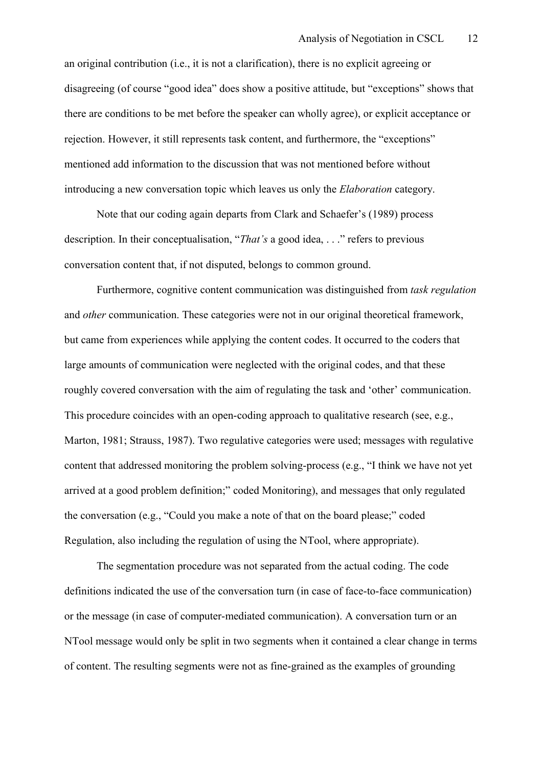an original contribution (i.e., it is not a clarification), there is no explicit agreeing or disagreeing (of course "good idea" does show a positive attitude, but "exceptions" shows that there are conditions to be met before the speaker can wholly agree), or explicit acceptance or rejection. However, it still represents task content, and furthermore, the "exceptions" mentioned add information to the discussion that was not mentioned before without introducing a new conversation topic which leaves us only the *Elaboration* category.

Note that our coding again departs from Clark and Schaefer's (1989) process description. In their conceptualisation, "*That's* a good idea, . . ." refers to previous conversation content that, if not disputed, belongs to common ground.

Furthermore, cognitive content communication was distinguished from *task regulation* and *other* communication. These categories were not in our original theoretical framework, but came from experiences while applying the content codes. It occurred to the coders that large amounts of communication were neglected with the original codes, and that these roughly covered conversation with the aim of regulating the task and 'other' communication. This procedure coincides with an open-coding approach to qualitative research (see, e.g., Marton, 1981; Strauss, 1987). Two regulative categories were used; messages with regulative content that addressed monitoring the problem solving-process (e.g., "I think we have not yet arrived at a good problem definition;" coded Monitoring), and messages that only regulated the conversation (e.g., "Could you make a note of that on the board please;" coded Regulation, also including the regulation of using the NTool, where appropriate).

The segmentation procedure was not separated from the actual coding. The code definitions indicated the use of the conversation turn (in case of face-to-face communication) or the message (in case of computer-mediated communication). A conversation turn or an NTool message would only be split in two segments when it contained a clear change in terms of content. The resulting segments were not as fine-grained as the examples of grounding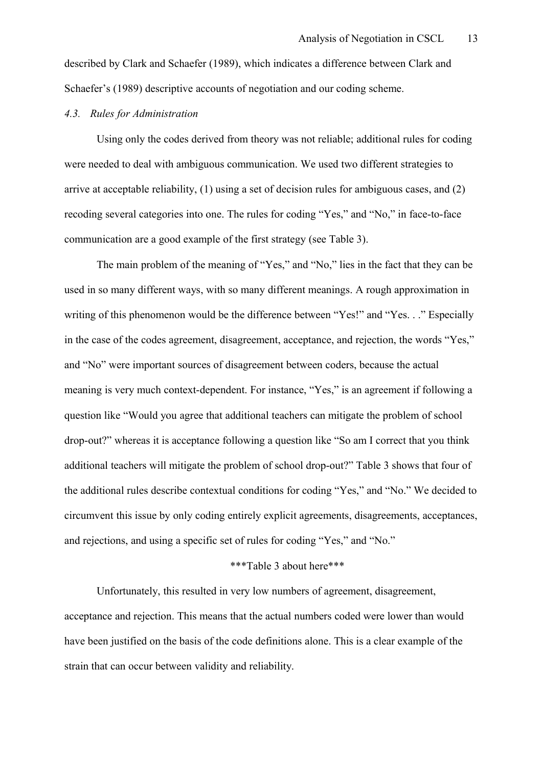described by Clark and Schaefer (1989), which indicates a difference between Clark and Schaefer's (1989) descriptive accounts of negotiation and our coding scheme.

### *4.3. Rules for Administration*

Using only the codes derived from theory was not reliable; additional rules for coding were needed to deal with ambiguous communication. We used two different strategies to arrive at acceptable reliability, (1) using a set of decision rules for ambiguous cases, and (2) recoding several categories into one. The rules for coding "Yes," and "No," in face-to-face communication are a good example of the first strategy (see Table 3).

The main problem of the meaning of "Yes," and "No," lies in the fact that they can be used in so many different ways, with so many different meanings. A rough approximation in writing of this phenomenon would be the difference between "Yes!" and "Yes. . ." Especially in the case of the codes agreement, disagreement, acceptance, and rejection, the words "Yes," and "No" were important sources of disagreement between coders, because the actual meaning is very much context-dependent. For instance, "Yes," is an agreement if following a question like "Would you agree that additional teachers can mitigate the problem of school drop-out?" whereas it is acceptance following a question like "So am I correct that you think additional teachers will mitigate the problem of school drop-out?" Table 3 shows that four of the additional rules describe contextual conditions for coding "Yes," and "No." We decided to circumvent this issue by only coding entirely explicit agreements, disagreements, acceptances, and rejections, and using a specific set of rules for coding "Yes," and "No."

## \*\*\*Table 3 about here\*\*\*

Unfortunately, this resulted in very low numbers of agreement, disagreement, acceptance and rejection. This means that the actual numbers coded were lower than would have been justified on the basis of the code definitions alone. This is a clear example of the strain that can occur between validity and reliability.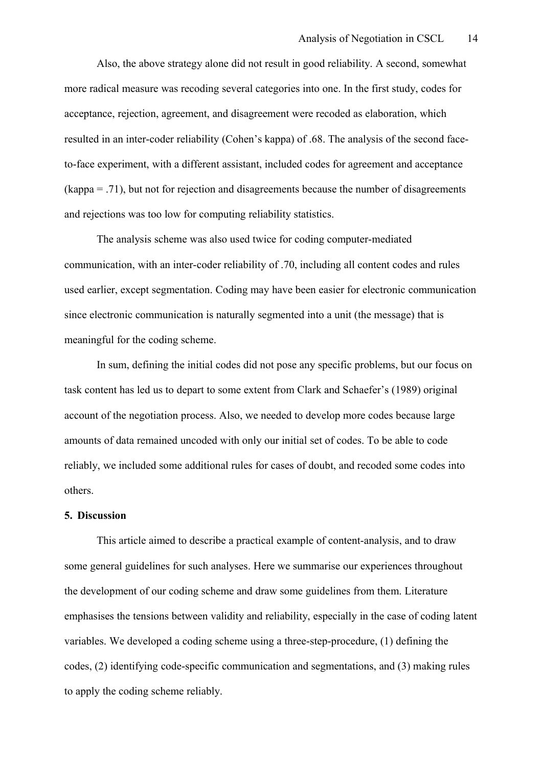Also, the above strategy alone did not result in good reliability. A second, somewhat more radical measure was recoding several categories into one. In the first study, codes for acceptance, rejection, agreement, and disagreement were recoded as elaboration, which resulted in an inter-coder reliability (Cohen's kappa) of .68. The analysis of the second faceto-face experiment, with a different assistant, included codes for agreement and acceptance (kappa = .71), but not for rejection and disagreements because the number of disagreements and rejections was too low for computing reliability statistics.

The analysis scheme was also used twice for coding computer-mediated communication, with an inter-coder reliability of .70, including all content codes and rules used earlier, except segmentation. Coding may have been easier for electronic communication since electronic communication is naturally segmented into a unit (the message) that is meaningful for the coding scheme.

In sum, defining the initial codes did not pose any specific problems, but our focus on task content has led us to depart to some extent from Clark and Schaefer's (1989) original account of the negotiation process. Also, we needed to develop more codes because large amounts of data remained uncoded with only our initial set of codes. To be able to code reliably, we included some additional rules for cases of doubt, and recoded some codes into others.

#### **5. Discussion**

This article aimed to describe a practical example of content-analysis, and to draw some general guidelines for such analyses. Here we summarise our experiences throughout the development of our coding scheme and draw some guidelines from them. Literature emphasises the tensions between validity and reliability, especially in the case of coding latent variables. We developed a coding scheme using a three-step-procedure, (1) defining the codes, (2) identifying code-specific communication and segmentations, and (3) making rules to apply the coding scheme reliably.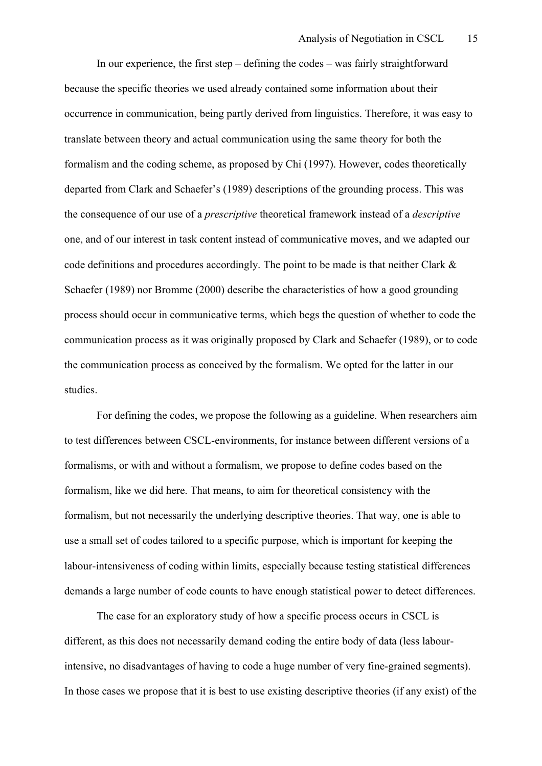In our experience, the first step – defining the codes – was fairly straightforward because the specific theories we used already contained some information about their occurrence in communication, being partly derived from linguistics. Therefore, it was easy to translate between theory and actual communication using the same theory for both the formalism and the coding scheme, as proposed by Chi (1997). However, codes theoretically departed from Clark and Schaefer's (1989) descriptions of the grounding process. This was the consequence of our use of a *prescriptive* theoretical framework instead of a *descriptive* one, and of our interest in task content instead of communicative moves, and we adapted our code definitions and procedures accordingly. The point to be made is that neither Clark & Schaefer (1989) nor Bromme (2000) describe the characteristics of how a good grounding process should occur in communicative terms, which begs the question of whether to code the communication process as it was originally proposed by Clark and Schaefer (1989), or to code the communication process as conceived by the formalism. We opted for the latter in our studies.

For defining the codes, we propose the following as a guideline. When researchers aim to test differences between CSCL-environments, for instance between different versions of a formalisms, or with and without a formalism, we propose to define codes based on the formalism, like we did here. That means, to aim for theoretical consistency with the formalism, but not necessarily the underlying descriptive theories. That way, one is able to use a small set of codes tailored to a specific purpose, which is important for keeping the labour-intensiveness of coding within limits, especially because testing statistical differences demands a large number of code counts to have enough statistical power to detect differences.

The case for an exploratory study of how a specific process occurs in CSCL is different, as this does not necessarily demand coding the entire body of data (less labourintensive, no disadvantages of having to code a huge number of very fine-grained segments). In those cases we propose that it is best to use existing descriptive theories (if any exist) of the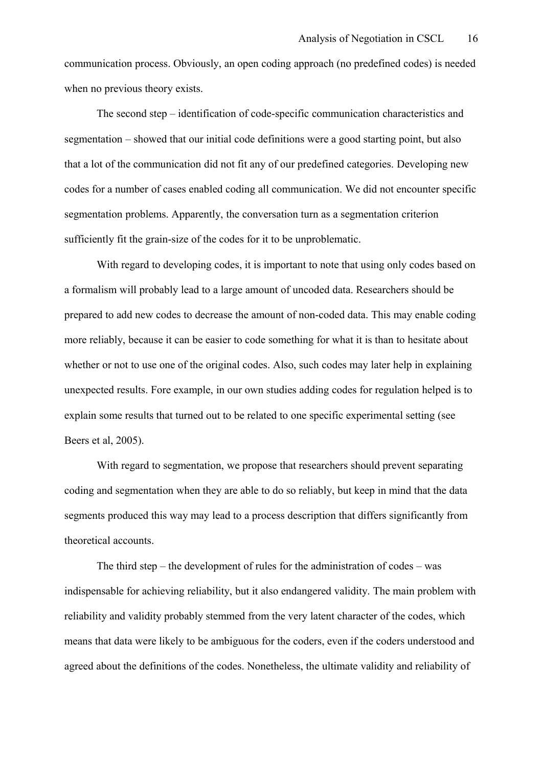communication process. Obviously, an open coding approach (no predefined codes) is needed when no previous theory exists.

The second step – identification of code-specific communication characteristics and segmentation – showed that our initial code definitions were a good starting point, but also that a lot of the communication did not fit any of our predefined categories. Developing new codes for a number of cases enabled coding all communication. We did not encounter specific segmentation problems. Apparently, the conversation turn as a segmentation criterion sufficiently fit the grain-size of the codes for it to be unproblematic.

With regard to developing codes, it is important to note that using only codes based on a formalism will probably lead to a large amount of uncoded data. Researchers should be prepared to add new codes to decrease the amount of non-coded data. This may enable coding more reliably, because it can be easier to code something for what it is than to hesitate about whether or not to use one of the original codes. Also, such codes may later help in explaining unexpected results. Fore example, in our own studies adding codes for regulation helped is to explain some results that turned out to be related to one specific experimental setting (see Beers et al, 2005).

With regard to segmentation, we propose that researchers should prevent separating coding and segmentation when they are able to do so reliably, but keep in mind that the data segments produced this way may lead to a process description that differs significantly from theoretical accounts.

The third step – the development of rules for the administration of codes – was indispensable for achieving reliability, but it also endangered validity. The main problem with reliability and validity probably stemmed from the very latent character of the codes, which means that data were likely to be ambiguous for the coders, even if the coders understood and agreed about the definitions of the codes. Nonetheless, the ultimate validity and reliability of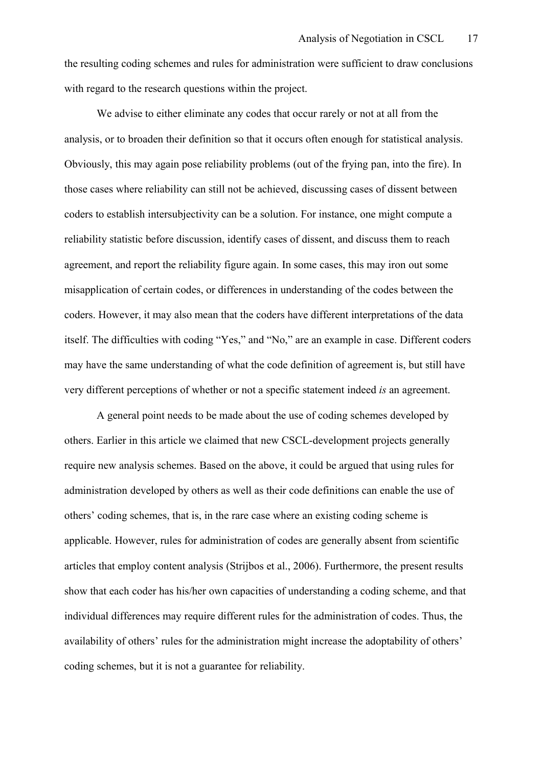the resulting coding schemes and rules for administration were sufficient to draw conclusions with regard to the research questions within the project.

We advise to either eliminate any codes that occur rarely or not at all from the analysis, or to broaden their definition so that it occurs often enough for statistical analysis. Obviously, this may again pose reliability problems (out of the frying pan, into the fire). In those cases where reliability can still not be achieved, discussing cases of dissent between coders to establish intersubjectivity can be a solution. For instance, one might compute a reliability statistic before discussion, identify cases of dissent, and discuss them to reach agreement, and report the reliability figure again. In some cases, this may iron out some misapplication of certain codes, or differences in understanding of the codes between the coders. However, it may also mean that the coders have different interpretations of the data itself. The difficulties with coding "Yes," and "No," are an example in case. Different coders may have the same understanding of what the code definition of agreement is, but still have very different perceptions of whether or not a specific statement indeed *is* an agreement.

A general point needs to be made about the use of coding schemes developed by others. Earlier in this article we claimed that new CSCL-development projects generally require new analysis schemes. Based on the above, it could be argued that using rules for administration developed by others as well as their code definitions can enable the use of others' coding schemes, that is, in the rare case where an existing coding scheme is applicable. However, rules for administration of codes are generally absent from scientific articles that employ content analysis (Strijbos et al., 2006). Furthermore, the present results show that each coder has his/her own capacities of understanding a coding scheme, and that individual differences may require different rules for the administration of codes. Thus, the availability of others' rules for the administration might increase the adoptability of others' coding schemes, but it is not a guarantee for reliability.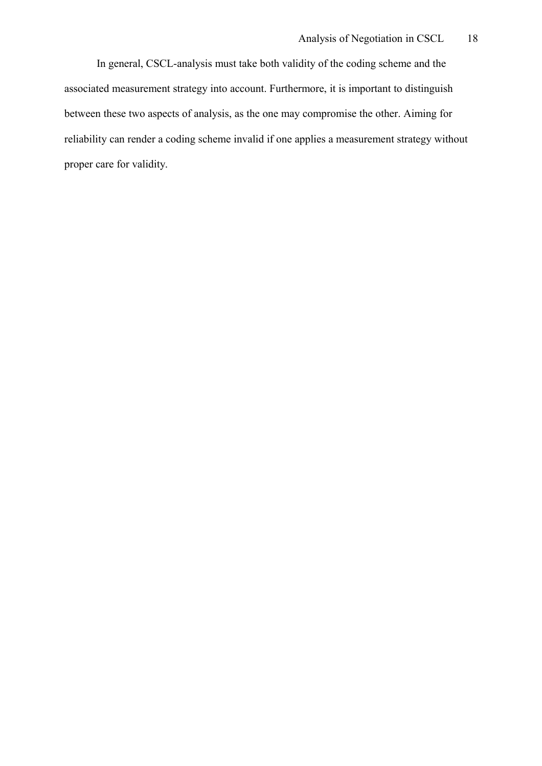In general, CSCL-analysis must take both validity of the coding scheme and the associated measurement strategy into account. Furthermore, it is important to distinguish between these two aspects of analysis, as the one may compromise the other. Aiming for reliability can render a coding scheme invalid if one applies a measurement strategy without proper care for validity.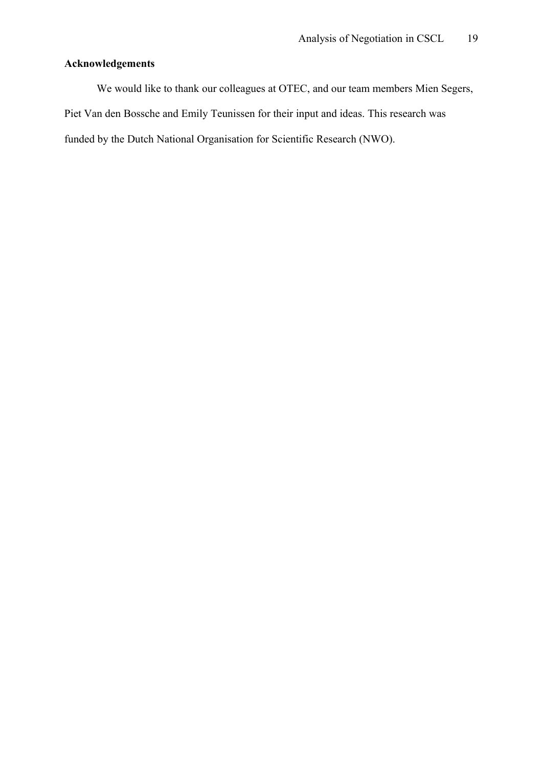# **Acknowledgements**

We would like to thank our colleagues at OTEC, and our team members Mien Segers, Piet Van den Bossche and Emily Teunissen for their input and ideas. This research was funded by the Dutch National Organisation for Scientific Research (NWO).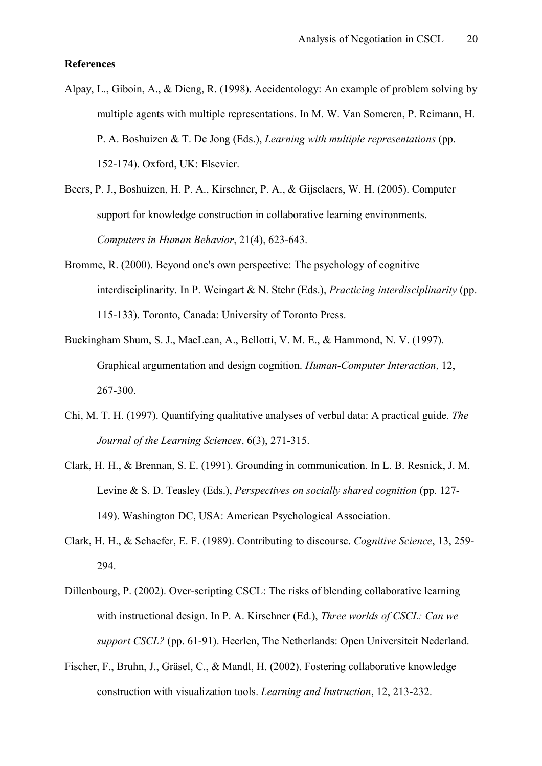### **References**

- Alpay, L., Giboin, A., & Dieng, R. (1998). Accidentology: An example of problem solving by multiple agents with multiple representations. In M. W. Van Someren, P. Reimann, H. P. A. Boshuizen & T. De Jong (Eds.), *Learning with multiple representations* (pp. 152-174). Oxford, UK: Elsevier.
- Beers, P. J., Boshuizen, H. P. A., Kirschner, P. A., & Gijselaers, W. H. (2005). Computer support for knowledge construction in collaborative learning environments. *Computers in Human Behavior*, 21(4), 623-643.
- Bromme, R. (2000). Beyond one's own perspective: The psychology of cognitive interdisciplinarity. In P. Weingart & N. Stehr (Eds.), *Practicing interdisciplinarity* (pp. 115-133). Toronto, Canada: University of Toronto Press.
- Buckingham Shum, S. J., MacLean, A., Bellotti, V. M. E., & Hammond, N. V. (1997). Graphical argumentation and design cognition. *Human-Computer Interaction*, 12, 267-300.
- Chi, M. T. H. (1997). Quantifying qualitative analyses of verbal data: A practical guide. *The Journal of the Learning Sciences*, 6(3), 271-315.
- Clark, H. H., & Brennan, S. E. (1991). Grounding in communication. In L. B. Resnick, J. M. Levine & S. D. Teasley (Eds.), *Perspectives on socially shared cognition* (pp. 127- 149). Washington DC, USA: American Psychological Association.
- Clark, H. H., & Schaefer, E. F. (1989). Contributing to discourse. *Cognitive Science*, 13, 259- 294.
- Dillenbourg, P. (2002). Over-scripting CSCL: The risks of blending collaborative learning with instructional design. In P. A. Kirschner (Ed.), *Three worlds of CSCL: Can we support CSCL?* (pp. 61-91). Heerlen, The Netherlands: Open Universiteit Nederland.
- Fischer, F., Bruhn, J., Gräsel, C., & Mandl, H. (2002). Fostering collaborative knowledge construction with visualization tools. *Learning and Instruction*, 12, 213-232.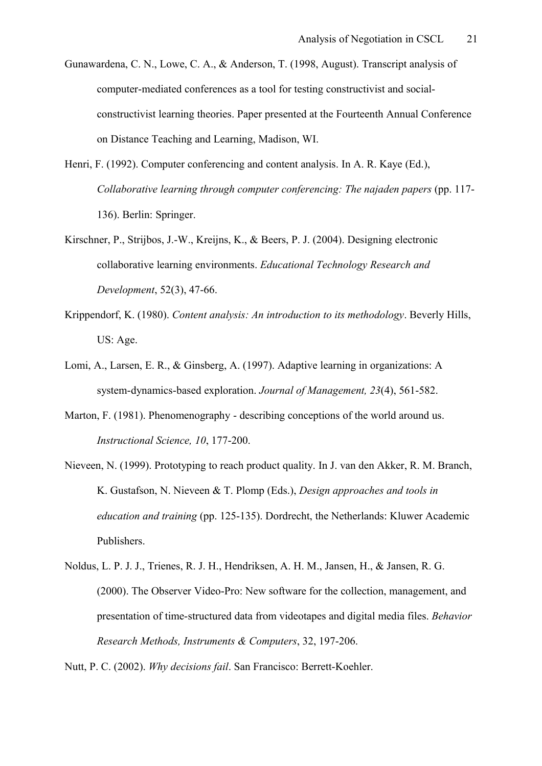- Gunawardena, C. N., Lowe, C. A., & Anderson, T. (1998, August). Transcript analysis of computer-mediated conferences as a tool for testing constructivist and socialconstructivist learning theories. Paper presented at the Fourteenth Annual Conference on Distance Teaching and Learning, Madison, WI.
- Henri, F. (1992). Computer conferencing and content analysis. In A. R. Kaye (Ed.), *Collaborative learning through computer conferencing: The najaden papers* (pp. 117- 136). Berlin: Springer.
- Kirschner, P., Strijbos, J.-W., Kreijns, K., & Beers, P. J. (2004). Designing electronic collaborative learning environments. *Educational Technology Research and Development*, 52(3), 47-66.
- Krippendorf, K. (1980). *Content analysis: An introduction to its methodology*. Beverly Hills, US: Age.
- Lomi, A., Larsen, E. R., & Ginsberg, A. (1997). Adaptive learning in organizations: A system-dynamics-based exploration. *Journal of Management, 23*(4), 561-582.
- Marton, F. (1981). Phenomenography describing conceptions of the world around us. *Instructional Science, 10*, 177-200.
- Nieveen, N. (1999). Prototyping to reach product quality. In J. van den Akker, R. M. Branch, K. Gustafson, N. Nieveen & T. Plomp (Eds.), *Design approaches and tools in education and training* (pp. 125-135). Dordrecht, the Netherlands: Kluwer Academic Publishers.
- Noldus, L. P. J. J., Trienes, R. J. H., Hendriksen, A. H. M., Jansen, H., & Jansen, R. G. (2000). The Observer Video-Pro: New software for the collection, management, and presentation of time-structured data from videotapes and digital media files. *Behavior Research Methods, Instruments & Computers*, 32, 197-206.

Nutt, P. C. (2002). *Why decisions fail*. San Francisco: Berrett-Koehler.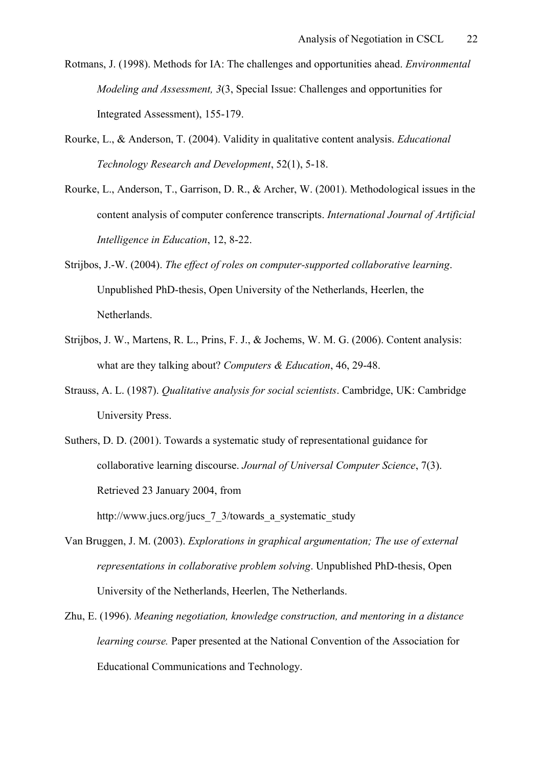Rotmans, J. (1998). Methods for IA: The challenges and opportunities ahead. *Environmental Modeling and Assessment, 3*(3, Special Issue: Challenges and opportunities for Integrated Assessment), 155-179.

- Rourke, L., & Anderson, T. (2004). Validity in qualitative content analysis. *Educational Technology Research and Development*, 52(1), 5-18.
- Rourke, L., Anderson, T., Garrison, D. R., & Archer, W. (2001). Methodological issues in the content analysis of computer conference transcripts. *International Journal of Artificial Intelligence in Education*, 12, 8-22.
- Strijbos, J.-W. (2004). *The effect of roles on computer-supported collaborative learning*. Unpublished PhD-thesis, Open University of the Netherlands, Heerlen, the Netherlands.
- Strijbos, J. W., Martens, R. L., Prins, F. J., & Jochems, W. M. G. (2006). Content analysis: what are they talking about? *Computers & Education*, 46, 29-48.
- Strauss, A. L. (1987). *Qualitative analysis for social scientists*. Cambridge, UK: Cambridge University Press.
- Suthers, D. D. (2001). Towards a systematic study of representational guidance for collaborative learning discourse. *Journal of Universal Computer Science*, 7(3). Retrieved 23 January 2004, from http://www.jucs.org/jucs\_7\_3/towards\_a\_systematic\_study
- Van Bruggen, J. M. (2003). *Explorations in graphical argumentation; The use of external representations in collaborative problem solving*. Unpublished PhD-thesis, Open University of the Netherlands, Heerlen, The Netherlands.
- Zhu, E. (1996). *Meaning negotiation, knowledge construction, and mentoring in a distance learning course.* Paper presented at the National Convention of the Association for Educational Communications and Technology.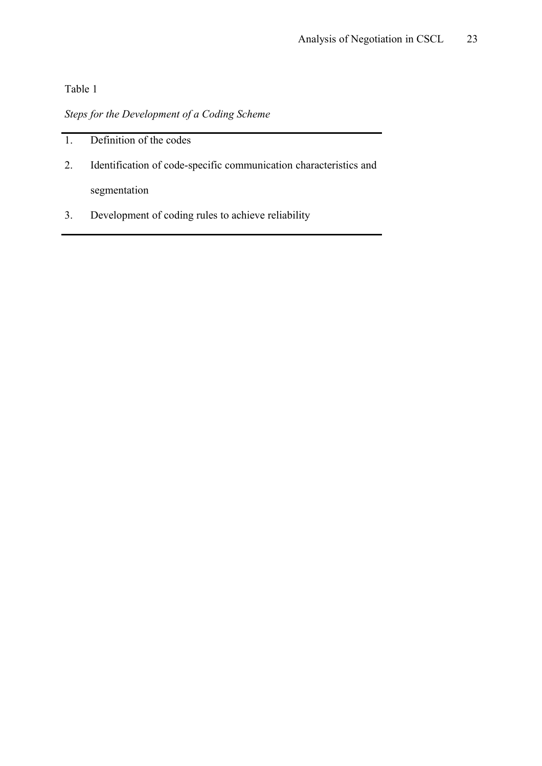Table 1

*Steps for the Development of a Coding Scheme*

| 1. | Definition of the codes |  |
|----|-------------------------|--|
|    |                         |  |

- 2. Identification of code-specific communication characteristics and segmentation
- 3. Development of coding rules to achieve reliability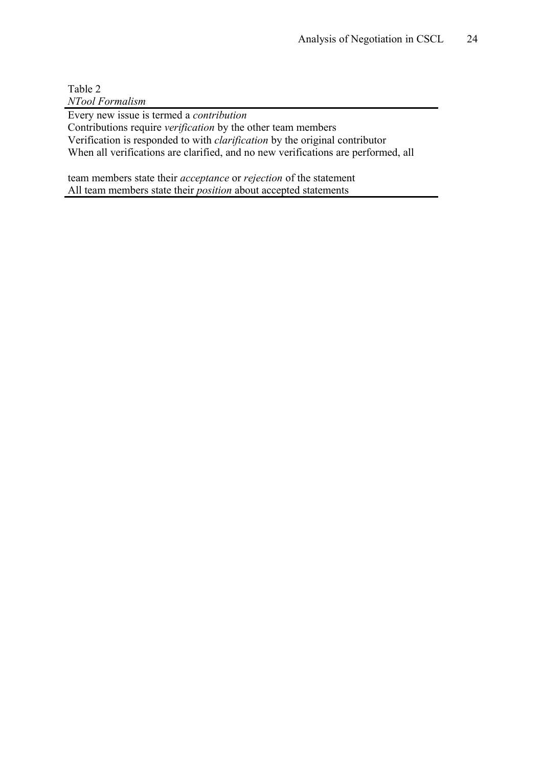Table 2 *NTool Formalism*

Every new issue is termed a *contribution* Contributions require *verification* by the other team members

Verification is responded to with *clarification* by the original contributor When all verifications are clarified, and no new verifications are performed, all

team members state their *acceptance* or *rejection* of the statement All team members state their *position* about accepted statements